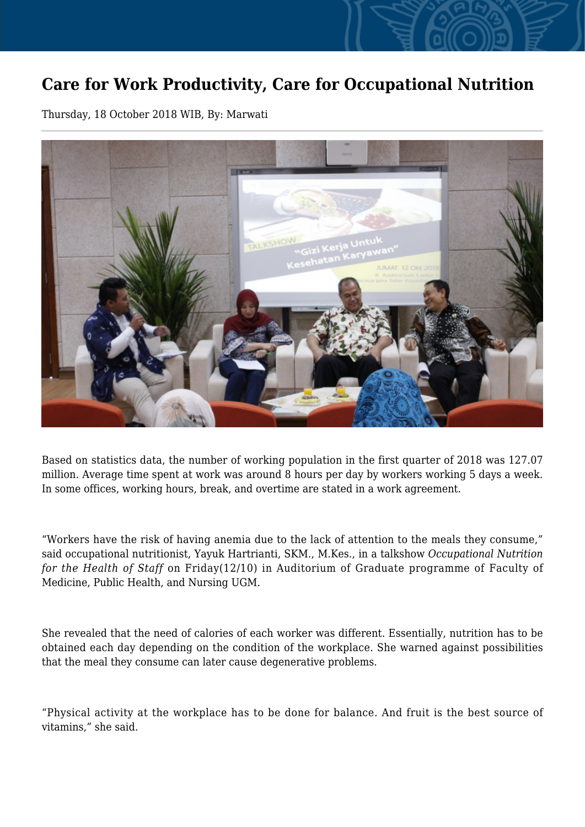## **Care for Work Productivity, Care for Occupational Nutrition**

Thursday, 18 October 2018 WIB, By: Marwati



Based on statistics data, the number of working population in the first quarter of 2018 was 127.07 million. Average time spent at work was around 8 hours per day by workers working 5 days a week. In some offices, working hours, break, and overtime are stated in a work agreement.

"Workers have the risk of having anemia due to the lack of attention to the meals they consume," said occupational nutritionist, Yayuk Hartrianti, SKM., M.Kes., in a talkshow *Occupational Nutrition for the Health of Staff* on Friday(12/10) in Auditorium of Graduate programme of Faculty of Medicine, Public Health, and Nursing UGM.

She revealed that the need of calories of each worker was different. Essentially, nutrition has to be obtained each day depending on the condition of the workplace. She warned against possibilities that the meal they consume can later cause degenerative problems.

"Physical activity at the workplace has to be done for balance. And fruit is the best source of vitamins," she said.